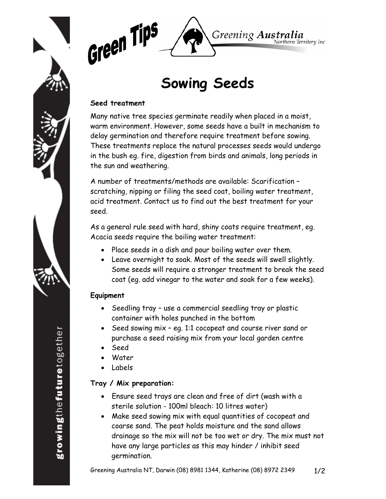



# **Sowing Seeds**

### **Seed treatment**

Many native tree species germinate readily when placed in a moist, warm environment. However, some seeds have a built in mechanism to delay germination and therefore require treatment before sowing. These treatments replace the natural processes seeds would undergo in the bush eg. fire, digestion from birds and animals, long periods in the sun and weathering.

A number of treatments/methods are available: Scarification – scratching, nipping or filing the seed coat, boiling water treatment, acid treatment. Contact us to find out the best treatment for your seed.

As a general rule seed with hard, shiny coats require treatment, eg. Acacia seeds require the boiling water treatment:

- Place seeds in a dish and pour boiling water over them.
- Leave overnight to soak. Most of the seeds will swell slightly. Some seeds will require a stronger treatment to break the seed coat (eg. add vinegar to the water and soak for a few weeks).

## **Equipment**

- Seedling tray use a commercial seedling tray or plastic container with holes punched in the bottom
- Seed sowing mix eg. 1:1 cocopeat and course river sand or purchase a seed raising mix from your local garden centre
- Seed
- **Water**
- Labels

## **Tray / Mix preparation:**

- Ensure seed trays are clean and free of dirt (wash with a sterile solution - 100ml bleach: 10 litres water)
- Make seed sowing mix with equal quantities of cocopeat and coarse sand. The peat holds moisture and the sand allows drainage so the mix will not be too wet or dry. The mix must not have any large particles as this may hinder / inhibit seed germination.